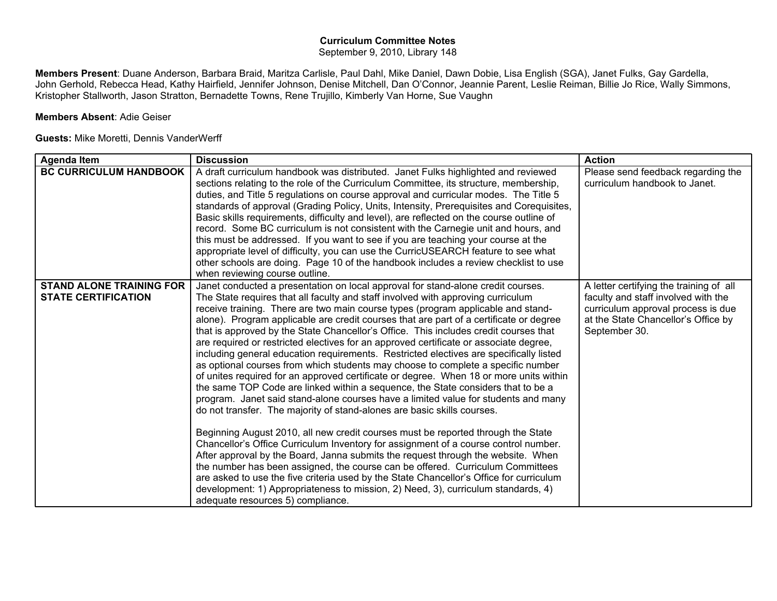## **Curriculum Committee Notes**

September 9, 2010, Library 148

**Members Present**: Duane Anderson, Barbara Braid, Maritza Carlisle, Paul Dahl, Mike Daniel, Dawn Dobie, Lisa English (SGA), Janet Fulks, Gay Gardella, John Gerhold, Rebecca Head, Kathy Hairfield, Jennifer Johnson, Denise Mitchell, Dan O'Connor, Jeannie Parent, Leslie Reiman, Billie Jo Rice, Wally Simmons, Kristopher Stallworth, Jason Stratton, Bernadette Towns, Rene Trujillo, Kimberly Van Horne, Sue Vaughn

## **Members Absent**: Adie Geiser

## **Guests:** Mike Moretti, Dennis VanderWerff

| <b>Agenda Item</b>                                            | <b>Discussion</b>                                                                                                                                                                                                                                                                                                                                                                                                                                                                                                                                                                                                                                                                                                                                                                                                                                                                                                                                                                                                                                                                                                                                                                                                                                                                                                                                                                                                                                                                                                                                                                                                                      | <b>Action</b>                                                                                                                                                                |
|---------------------------------------------------------------|----------------------------------------------------------------------------------------------------------------------------------------------------------------------------------------------------------------------------------------------------------------------------------------------------------------------------------------------------------------------------------------------------------------------------------------------------------------------------------------------------------------------------------------------------------------------------------------------------------------------------------------------------------------------------------------------------------------------------------------------------------------------------------------------------------------------------------------------------------------------------------------------------------------------------------------------------------------------------------------------------------------------------------------------------------------------------------------------------------------------------------------------------------------------------------------------------------------------------------------------------------------------------------------------------------------------------------------------------------------------------------------------------------------------------------------------------------------------------------------------------------------------------------------------------------------------------------------------------------------------------------------|------------------------------------------------------------------------------------------------------------------------------------------------------------------------------|
| <b>BC CURRICULUM HANDBOOK</b>                                 | A draft curriculum handbook was distributed. Janet Fulks highlighted and reviewed<br>sections relating to the role of the Curriculum Committee, its structure, membership,<br>duties, and Title 5 regulations on course approval and curricular modes. The Title 5<br>standards of approval (Grading Policy, Units, Intensity, Prerequisites and Corequisites,<br>Basic skills requirements, difficulty and level), are reflected on the course outline of<br>record. Some BC curriculum is not consistent with the Carnegie unit and hours, and<br>this must be addressed. If you want to see if you are teaching your course at the<br>appropriate level of difficulty, you can use the CurricUSEARCH feature to see what<br>other schools are doing. Page 10 of the handbook includes a review checklist to use<br>when reviewing course outline.                                                                                                                                                                                                                                                                                                                                                                                                                                                                                                                                                                                                                                                                                                                                                                                   | Please send feedback regarding the<br>curriculum handbook to Janet.                                                                                                          |
| <b>STAND ALONE TRAINING FOR</b><br><b>STATE CERTIFICATION</b> | Janet conducted a presentation on local approval for stand-alone credit courses.<br>The State requires that all faculty and staff involved with approving curriculum<br>receive training. There are two main course types (program applicable and stand-<br>alone). Program applicable are credit courses that are part of a certificate or degree<br>that is approved by the State Chancellor's Office. This includes credit courses that<br>are required or restricted electives for an approved certificate or associate degree,<br>including general education requirements. Restricted electives are specifically listed<br>as optional courses from which students may choose to complete a specific number<br>of unites required for an approved certificate or degree. When 18 or more units within<br>the same TOP Code are linked within a sequence, the State considers that to be a<br>program. Janet said stand-alone courses have a limited value for students and many<br>do not transfer. The majority of stand-alones are basic skills courses.<br>Beginning August 2010, all new credit courses must be reported through the State<br>Chancellor's Office Curriculum Inventory for assignment of a course control number.<br>After approval by the Board, Janna submits the request through the website. When<br>the number has been assigned, the course can be offered. Curriculum Committees<br>are asked to use the five criteria used by the State Chancellor's Office for curriculum<br>development: 1) Appropriateness to mission, 2) Need, 3), curriculum standards, 4)<br>adequate resources 5) compliance. | A letter certifying the training of all<br>faculty and staff involved with the<br>curriculum approval process is due<br>at the State Chancellor's Office by<br>September 30. |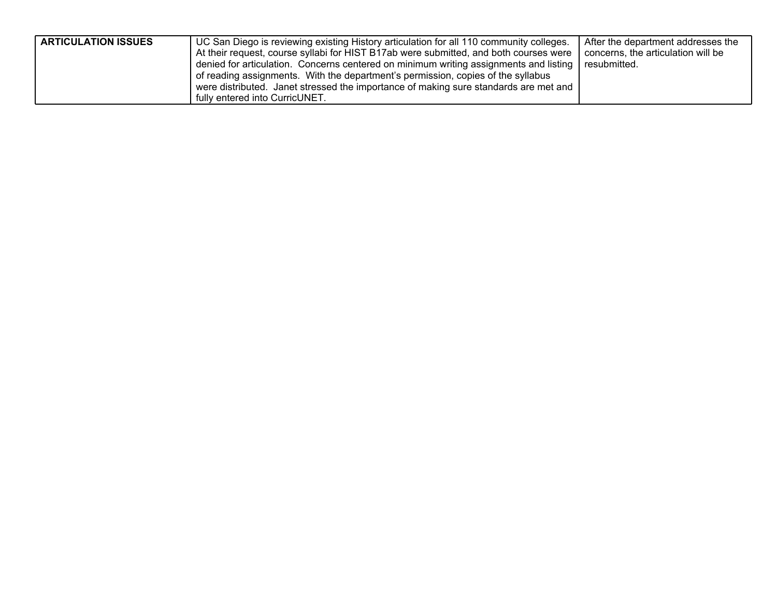| <b>ARTICULATION ISSUES</b> | UC San Diego is reviewing existing History articulation for all 110 community colleges.<br>At their request, course syllabi for HIST B17ab were submitted, and both courses were<br>denied for articulation. Concerns centered on minimum writing assignments and listing<br>of reading assignments. With the department's permission, copies of the syllabus<br>were distributed. Janet stressed the importance of making sure standards are met and | After the department addresses the<br>concerns, the articulation will be<br>resubmitted. |
|----------------------------|-------------------------------------------------------------------------------------------------------------------------------------------------------------------------------------------------------------------------------------------------------------------------------------------------------------------------------------------------------------------------------------------------------------------------------------------------------|------------------------------------------------------------------------------------------|
|                            | fully entered into CurricUNET.                                                                                                                                                                                                                                                                                                                                                                                                                        |                                                                                          |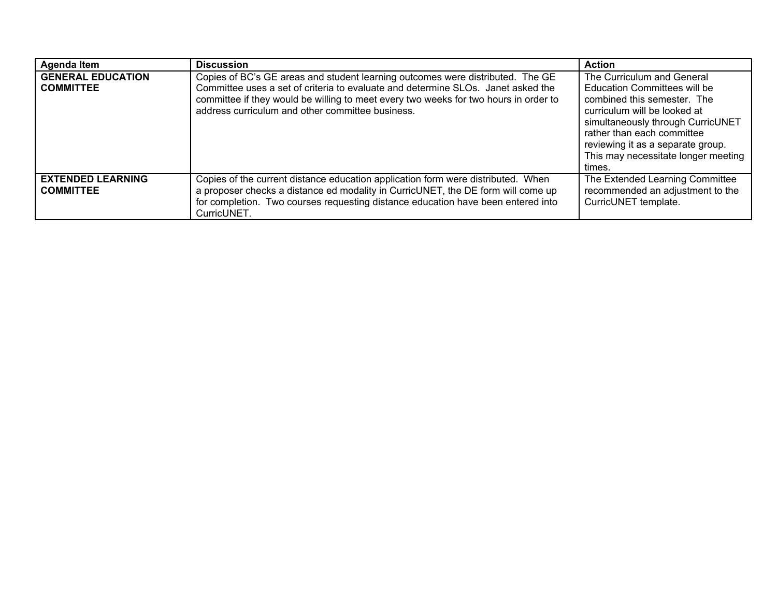| <b>Agenda Item</b>                           | <b>Discussion</b>                                                                                                                                                                                                                                                                                              | <b>Action</b>                                                                                                                                                                                                                                                                             |
|----------------------------------------------|----------------------------------------------------------------------------------------------------------------------------------------------------------------------------------------------------------------------------------------------------------------------------------------------------------------|-------------------------------------------------------------------------------------------------------------------------------------------------------------------------------------------------------------------------------------------------------------------------------------------|
| <b>GENERAL EDUCATION</b><br><b>COMMITTEE</b> | Copies of BC's GE areas and student learning outcomes were distributed. The GE<br>Committee uses a set of criteria to evaluate and determine SLOs. Janet asked the<br>committee if they would be willing to meet every two weeks for two hours in order to<br>address curriculum and other committee business. | The Curriculum and General<br><b>Education Committees will be</b><br>combined this semester. The<br>curriculum will be looked at<br>simultaneously through CurricUNET<br>rather than each committee<br>reviewing it as a separate group.<br>This may necessitate longer meeting<br>times. |
| <b>EXTENDED LEARNING</b><br><b>COMMITTEE</b> | Copies of the current distance education application form were distributed. When<br>a proposer checks a distance ed modality in CurricUNET, the DE form will come up<br>for completion. Two courses requesting distance education have been entered into<br>CurricUNET.                                        | The Extended Learning Committee<br>recommended an adjustment to the<br>CurricUNET template.                                                                                                                                                                                               |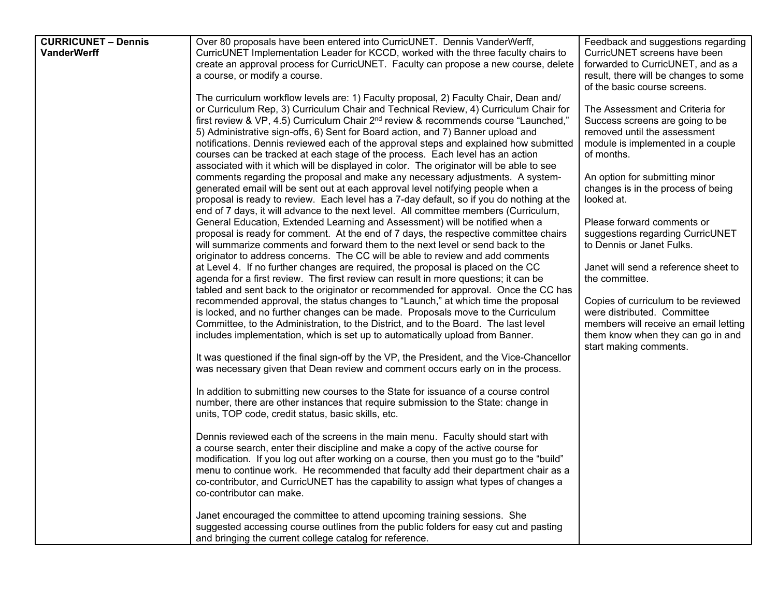| <b>CURRICUNET - Dennis</b> | Over 80 proposals have been entered into CurricUNET. Dennis VanderWerff,                        | Feedback and suggestions regarding                                         |
|----------------------------|-------------------------------------------------------------------------------------------------|----------------------------------------------------------------------------|
| <b>VanderWerff</b>         | CurricUNET Implementation Leader for KCCD, worked with the three faculty chairs to              | CurricUNET screens have been                                               |
|                            | create an approval process for CurricUNET. Faculty can propose a new course, delete             |                                                                            |
|                            | a course, or modify a course.                                                                   | forwarded to CurricUNET, and as a<br>result, there will be changes to some |
|                            |                                                                                                 |                                                                            |
|                            |                                                                                                 | of the basic course screens.                                               |
|                            | The curriculum workflow levels are: 1) Faculty proposal, 2) Faculty Chair, Dean and/            |                                                                            |
|                            | or Curriculum Rep, 3) Curriculum Chair and Technical Review, 4) Curriculum Chair for            | The Assessment and Criteria for                                            |
|                            | first review & VP, 4.5) Curriculum Chair 2 <sup>nd</sup> review & recommends course "Launched," | Success screens are going to be                                            |
|                            | 5) Administrative sign-offs, 6) Sent for Board action, and 7) Banner upload and                 | removed until the assessment                                               |
|                            | notifications. Dennis reviewed each of the approval steps and explained how submitted           | module is implemented in a couple                                          |
|                            | courses can be tracked at each stage of the process. Each level has an action                   | of months.                                                                 |
|                            | associated with it which will be displayed in color. The originator will be able to see         |                                                                            |
|                            | comments regarding the proposal and make any necessary adjustments. A system-                   | An option for submitting minor                                             |
|                            | generated email will be sent out at each approval level notifying people when a                 | changes is in the process of being                                         |
|                            | proposal is ready to review. Each level has a 7-day default, so if you do nothing at the        | looked at.                                                                 |
|                            | end of 7 days, it will advance to the next level. All committee members (Curriculum,            |                                                                            |
|                            | General Education, Extended Learning and Assessment) will be notified when a                    | Please forward comments or                                                 |
|                            | proposal is ready for comment. At the end of 7 days, the respective committee chairs            | suggestions regarding CurricUNET                                           |
|                            | will summarize comments and forward them to the next level or send back to the                  | to Dennis or Janet Fulks.                                                  |
|                            | originator to address concerns. The CC will be able to review and add comments                  |                                                                            |
|                            | at Level 4. If no further changes are required, the proposal is placed on the CC                | Janet will send a reference sheet to                                       |
|                            | agenda for a first review. The first review can result in more questions; it can be             | the committee.                                                             |
|                            | tabled and sent back to the originator or recommended for approval. Once the CC has             |                                                                            |
|                            | recommended approval, the status changes to "Launch," at which time the proposal                | Copies of curriculum to be reviewed                                        |
|                            | is locked, and no further changes can be made. Proposals move to the Curriculum                 | were distributed. Committee                                                |
|                            | Committee, to the Administration, to the District, and to the Board. The last level             | members will receive an email letting                                      |
|                            | includes implementation, which is set up to automatically upload from Banner.                   | them know when they can go in and                                          |
|                            |                                                                                                 | start making comments.                                                     |
|                            | It was questioned if the final sign-off by the VP, the President, and the Vice-Chancellor       |                                                                            |
|                            | was necessary given that Dean review and comment occurs early on in the process.                |                                                                            |
|                            |                                                                                                 |                                                                            |
|                            | In addition to submitting new courses to the State for issuance of a course control             |                                                                            |
|                            | number, there are other instances that require submission to the State: change in               |                                                                            |
|                            | units, TOP code, credit status, basic skills, etc.                                              |                                                                            |
|                            |                                                                                                 |                                                                            |
|                            | Dennis reviewed each of the screens in the main menu. Faculty should start with                 |                                                                            |
|                            | a course search, enter their discipline and make a copy of the active course for                |                                                                            |
|                            | modification. If you log out after working on a course, then you must go to the "build"         |                                                                            |
|                            | menu to continue work. He recommended that faculty add their department chair as a              |                                                                            |
|                            | co-contributor, and CurricUNET has the capability to assign what types of changes a             |                                                                            |
|                            | co-contributor can make.                                                                        |                                                                            |
|                            |                                                                                                 |                                                                            |
|                            | Janet encouraged the committee to attend upcoming training sessions. She                        |                                                                            |
|                            | suggested accessing course outlines from the public folders for easy cut and pasting            |                                                                            |
|                            | and bringing the current college catalog for reference.                                         |                                                                            |